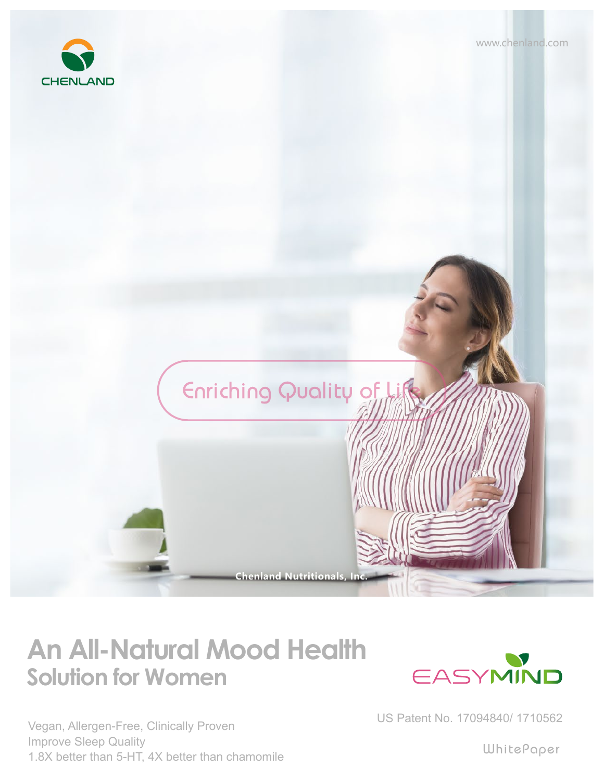



## **Solution for Women An All-Natural Mood Health**

Vegan, Allergen-Free, Clinically Proven Improve Sleep Quality 1.8X better than 5-HT, 4X better than chamomile



US Patent No. 17094840/ 1710562

WhitePaper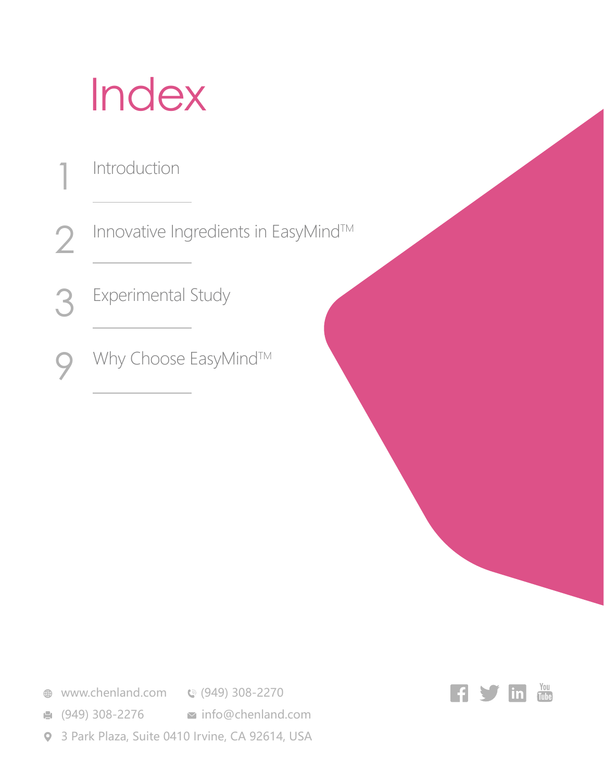## Index

- Introduction 1
- Innovative Ingredients in EasyMind™ 2
- Experimental Study 3
- Why Choose EasyMind™ 9

- **<sup>●</sup>** www.chenland.com **©** (949) 308-2270
- **(949) 308-2276 info@chenland.com**
- 3 Park Plaza, Suite 0410 Irvine, CA 92614, USA